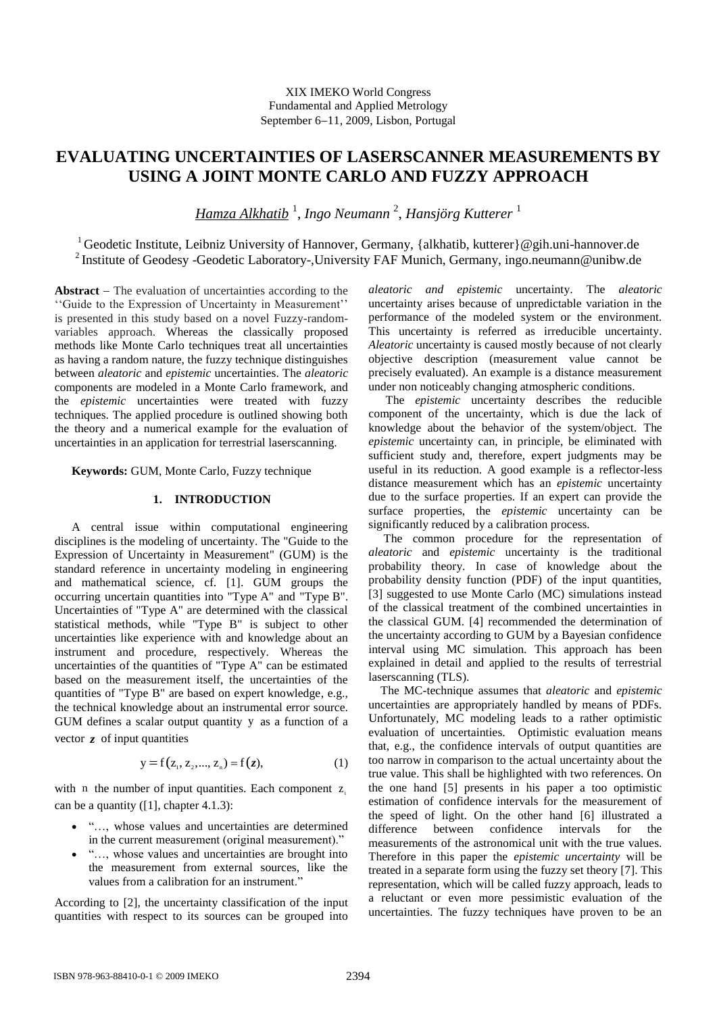# **EVALUATING UNCERTAINTIES OF LASERSCANNER MEASUREMENTS BY USING A JOINT MONTE CARLO AND FUZZY APPROACH**

*Hamza Alkhatib* 1 , *Ingo Neumann* <sup>2</sup> , *Hansjörg Kutterer* <sup>1</sup>

<sup>1</sup> Geodetic Institute, Leibniz University of Hannover, Germany, {alkhatib, kutterer}@gih.uni-hannover.de <sup>2</sup> Institute of Geodesy -Geodetic Laboratory-, University FAF Munich, Germany, ingo.neumann@unibw.de

**Abstract** – The evaluation of uncertainties according to the "Guide to the Expression of Uncertainty in Measurement" is presented in this study based on a novel Fuzzy-randomvariables approach. Whereas the classically proposed methods like Monte Carlo techniques treat all uncertainties as having a random nature, the fuzzy technique distinguishes between *aleatoric* and *epistemic* uncertainties. The *aleatoric* components are modeled in a Monte Carlo framework, and the *epistemic* uncertainties were treated with fuzzy techniques. The applied procedure is outlined showing both the theory and a numerical example for the evaluation of uncertainties in an application for terrestrial laserscanning.

**Keywords:** GUM, Monte Carlo, Fuzzy technique

# **1. INTRODUCTION**

A central issue within computational engineering disciplines is the modeling of uncertainty. The "Guide to the Expression of Uncertainty in Measurement" (GUM) is the standard reference in uncertainty modeling in engineering and mathematical science, cf. [1]. GUM groups the occurring uncertain quantities into "Type A" and "Type B". Uncertainties of "Type A" are determined with the classical statistical methods, while "Type B" is subject to other uncertainties like experience with and knowledge about an instrument and procedure, respectively. Whereas the uncertainties of the quantities of "Type A" can be estimated based on the measurement itself, the uncertainties of the quantities of "Type B" are based on expert knowledge, e.g., the technical knowledge about an instrumental error source. GUM defines a scalar output quantity y as a function of a vector *z* of input quantities

$$
y = f(z_1, z_2, ..., z_n) = f(z),
$$
 (1)

with n the number of input quantities. Each component  $z_i$ can be a quantity ([1], chapter 4.1.3):

- "…, whose values and uncertainties are determined in the current measurement (original measurement)."
- "..., whose values and uncertainties are brought into the measurement from external sources, like the values from a calibration for an instrument."

According to [2], the uncertainty classification of the input quantities with respect to its sources can be grouped into *aleatoric and epistemic* uncertainty. The *aleatoric* uncertainty arises because of unpredictable variation in the performance of the modeled system or the environment. This uncertainty is referred as irreducible uncertainty. *Aleatoric* uncertainty is caused mostly because of not clearly objective description (measurement value cannot be precisely evaluated). An example is a distance measurement under non noticeably changing atmospheric conditions.

The *epistemic* uncertainty describes the reducible component of the uncertainty, which is due the lack of knowledge about the behavior of the system/object. The *epistemic* uncertainty can, in principle, be eliminated with sufficient study and, therefore, expert judgments may be useful in its reduction. A good example is a reflector-less distance measurement which has an *epistemic* uncertainty due to the surface properties. If an expert can provide the surface properties, the *epistemic* uncertainty can be significantly reduced by a calibration process.

 The common procedure for the representation of *aleatoric* and *epistemic* uncertainty is the traditional probability theory. In case of knowledge about the probability density function (PDF) of the input quantities, [3] suggested to use Monte Carlo (MC) simulations instead of the classical treatment of the combined uncertainties in the classical GUM. [4] recommended the determination of the uncertainty according to GUM by a Bayesian confidence interval using MC simulation. This approach has been explained in detail and applied to the results of terrestrial laserscanning (TLS).

 The MC-technique assumes that *aleatoric* and *epistemic* uncertainties are appropriately handled by means of PDFs. Unfortunately, MC modeling leads to a rather optimistic evaluation of uncertainties. Optimistic evaluation means that, e.g., the confidence intervals of output quantities are too narrow in comparison to the actual uncertainty about the true value. This shall be highlighted with two references. On the one hand [5] presents in his paper a too optimistic estimation of confidence intervals for the measurement of the speed of light. On the other hand [6] illustrated a difference between confidence intervals for the measurements of the astronomical unit with the true values. Therefore in this paper the *epistemic uncertainty* will be treated in a separate form using the fuzzy set theory [7]. This representation, which will be called fuzzy approach, leads to a reluctant or even more pessimistic evaluation of the uncertainties. The fuzzy techniques have proven to be an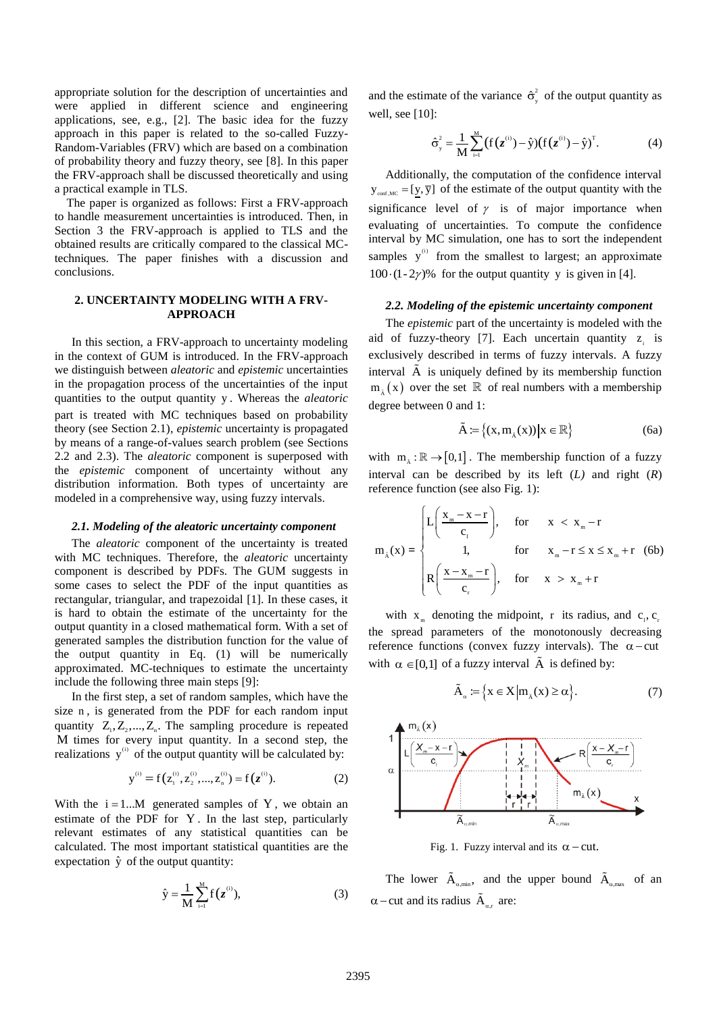appropriate solution for the description of uncertainties and were applied in different science and engineering applications, see, e.g., [2]. The basic idea for the fuzzy approach in this paper is related to the so-called Fuzzy-Random-Variables (FRV) which are based on a combination of probability theory and fuzzy theory, see [8]. In this paper the FRV-approach shall be discussed theoretically and using a practical example in TLS.

 The paper is organized as follows: First a FRV-approach to handle measurement uncertainties is introduced. Then, in Section 3 the FRV-approach is applied to TLS and the obtained results are critically compared to the classical MCtechniques. The paper finishes with a discussion and conclusions.

# **2. UNCERTAINTY MODELING WITH A FRV-APPROACH**

In this section, a FRV-approach to uncertainty modeling in the context of GUM is introduced. In the FRV-approach we distinguish between *aleatoric* and *epistemic* uncertainties in the propagation process of the uncertainties of the input quantities to the output quantity y . Whereas the *aleatoric* part is treated with MC techniques based on probability theory (see Section 2.1), *epistemic* uncertainty is propagated by means of a range-of-values search problem (see Sections 2.2 and 2.3). The *aleatoric* component is superposed with the *epistemic* component of uncertainty without any distribution information. Both types of uncertainty are modeled in a comprehensive way, using fuzzy intervals.

### *2.1. Modeling of the aleatoric uncertainty component*

The *aleatoric* component of the uncertainty is treated with MC techniques. Therefore, the *aleatoric* uncertainty component is described by PDFs. The GUM suggests in some cases to select the PDF of the input quantities as rectangular, triangular, and trapezoidal [1]. In these cases, it is hard to obtain the estimate of the uncertainty for the output quantity in a closed mathematical form. With a set of generated samples the distribution function for the value of the output quantity in Eq. (1) will be numerically approximated. MC-techniques to estimate the uncertainty include the following three main steps [9]:

In the first step, a set of random samples, which have the size n , is generated from the PDF for each random input quantity  $Z_1, Z_2, ..., Z_n$ . The sampling procedure is repeated M times for every input quantity. In a second step, the realizations  $y^{(i)}$  of the output quantity will be calculated by:

$$
y^{(i)} = f(z_1^{(i)}, z_2^{(i)}, ..., z_n^{(i)}) = f(z^{(i)}).
$$
 (2)

With the  $i = 1...M$  generated samples of Y, we obtain an estimate of the PDF for Y . In the last step, particularly relevant estimates of any statistical quantities can be calculated. The most important statistical quantities are the expectation  $\hat{y}$  of the output quantity:

$$
\hat{y} = \frac{1}{M} \sum_{i=1}^{M} f(z^{(i)}),
$$
 (3)

and the estimate of the variance  $\hat{\sigma}^2$  $\hat{\sigma}_y^2$  of the output quantity as well, see [10]:

$$
\hat{\sigma}_{y}^{2} = \frac{1}{M} \sum_{i=1}^{M} (f(z^{(i)}) - \hat{y}) (f(z^{(i)}) - \hat{y})^{T}.
$$
 (4)

Additionally, the computation of the confidence interval  $y_{\text{conf,MC}} = [\underline{y}, \overline{y}]$  of the estimate of the output quantity with the significance level of  $\gamma$  is of major importance when evaluating of uncertainties. To compute the confidence interval by MC simulation, one has to sort the independent samples  $y^{(i)}$  from the smallest to largest; an approximate  $100 \cdot (1 - 2\gamma)$ % for the output quantity y is given in [4].

#### *2.2. Modeling of the epistemic uncertainty component*

The *epistemic* part of the uncertainty is modeled with the aid of fuzzy-theory [7]. Each uncertain quantity  $z_i$  is exclusively described in terms of fuzzy intervals. A fuzzy interval  $\tilde{A}$  is uniquely defined by its membership function  $m_{\tilde{A}}(x)$  over the set  $\mathbb R$  of real numbers with a membership degree between 0 and 1:

$$
\tilde{A} := \left\{ (x, m_{\tilde{A}}(x)) \middle| x \in \mathbb{R} \right\} \tag{6a}
$$

with  $m_{\tilde{A}} : \mathbb{R} \to [0,1]$ . The membership function of a fuzzy interval can be described by its left (*L)* and right (*R*) reference function (see also Fig. 1):

$$
m_{\lambda}(x) = \begin{cases} L\left(\frac{x_{m} - x - r}{c_{1}}\right), & \text{for } x < x_{m} - r \\ 1, & \text{for } x_{m} - r \leq x \leq x_{m} + r \\ R\left(\frac{x - x_{m} - r}{c_{r}}\right), & \text{for } x > x_{m} + r \end{cases}
$$
(6b)

with  $x_m$  denoting the midpoint, r its radius, and  $c_1, c_2$ the spread parameters of the monotonously decreasing reference functions (convex fuzzy intervals). The  $\alpha$ -cut with  $\alpha \in [0,1]$  of a fuzzy interval  $\tilde{A}$  is defined by:

$$
\tilde{A}_{\alpha} := \left\{ x \in X \middle| m_{\lambda}(x) \ge \alpha \right\}.
$$
 (7)



Fig. 1. Fuzzy interval and its  $\alpha$  - cut.

The lower  $\tilde{A}_{\alpha, min}$ , and the upper bound  $\tilde{A}_{\alpha, max}$  of an  $\alpha$  – cut and its radius  $\tilde{A}_{\alpha,r}$  are: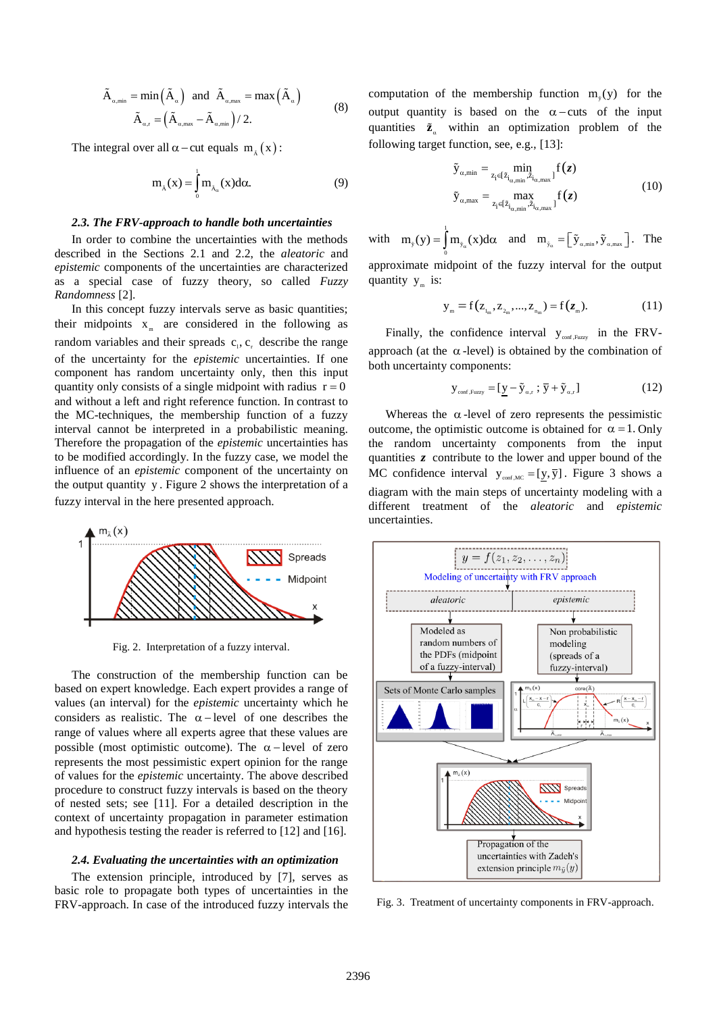$$
\tilde{A}_{\alpha,\min} = \min(\tilde{A}_{\alpha}) \text{ and } \tilde{A}_{\alpha,\max} = \max(\tilde{A}_{\alpha})
$$
\n
$$
\tilde{A}_{\alpha,r} = (\tilde{A}_{\alpha,\max} - \tilde{A}_{\alpha,\min})/2.
$$
\n(8)

The integral over all  $\alpha$  – cut equals  $m_{\tilde{A}}(x)$ :

$$
m_{\lambda}(x) = \int_{0}^{1} m_{\lambda_{\alpha}}(x) d\alpha.
$$
 (9)

#### *2.3. The FRV-approach to handle both uncertainties*

In order to combine the uncertainties with the methods described in the Sections 2.1 and 2.2, the *aleatoric* and *epistemic* components of the uncertainties are characterized as a special case of fuzzy theory, so called *Fuzzy Randomness* [2].

In this concept fuzzy intervals serve as basic quantities; their midpoints  $x_m$  are considered in the following as random variables and their spreads  $c_1, c_2$  describe the range of the uncertainty for the *epistemic* uncertainties. If one component has random uncertainty only, then this input quantity only consists of a single midpoint with radius  $r = 0$ and without a left and right reference function. In contrast to the MC-techniques, the membership function of a fuzzy interval cannot be interpreted in a probabilistic meaning. Therefore the propagation of the *epistemic* uncertainties has to be modified accordingly. In the fuzzy case, we model the influence of an *epistemic* component of the uncertainty on the output quantity y . Figure 2 shows the interpretation of a fuzzy interval in the here presented approach.



Fig. 2. Interpretation of a fuzzy interval.

The construction of the membership function can be based on expert knowledge. Each expert provides a range of values (an interval) for the *epistemic* uncertainty which he considers as realistic. The  $\alpha$ -level of one describes the range of values where all experts agree that these values are possible (most optimistic outcome). The  $\alpha$ -level of zero represents the most pessimistic expert opinion for the range of values for the *epistemic* uncertainty. The above described procedure to construct fuzzy intervals is based on the theory of nested sets; see [11]. For a detailed description in the context of uncertainty propagation in parameter estimation and hypothesis testing the reader is referred to [12] and [16].

## *2.4. Evaluating the uncertainties with an optimization*

The extension principle, introduced by [7], serves as basic role to propagate both types of uncertainties in the FRV-approach. In case of the introduced fuzzy intervals the

computation of the membership function  $m_{\tilde{y}}(y)$  for the output quantity is based on the  $\alpha$ -cuts of the input quantities  $\tilde{z}_\alpha$  within an optimization problem of the following target function, see, e.g., [13]:

$$
\tilde{y}_{\alpha,\min} = \min_{z_i \in [\tilde{z}_{i_{\alpha,\min}}, \tilde{z}_{i_{\alpha,\max}}]} f(z)
$$
\n
$$
\tilde{y}_{\alpha,\max} = \max_{z_i \in [\tilde{z}_{i_{\alpha,\min}}, \tilde{z}_{i_{\alpha,\max}}]} f(z)
$$
\n(10)

with  $m_{\nu}(y) =$  $m_{y}(y) = \int m_{y_{\alpha}}(x) d\alpha$  and  $m_{y_{\alpha}} = \left[\tilde{y}_{\alpha, min}, \tilde{y}_{\alpha, max}\right]$ . The  $\boldsymbol{0}$ approximate midpoint of the fuzzy interval for the output quantity  $y_m$  is:

$$
y_{m} = f(z_{i_{m}}, z_{i_{m}}, \ldots, z_{i_{m}}) = f(z_{m}).
$$
\n(11)

Finally, the confidence interval  $y_{\text{conf,Fuzzy}}$  in the FRVapproach (at the  $\alpha$ -level) is obtained by the combination of both uncertainty components:

$$
\mathbf{y}_{\text{conf,Fuzzy}} = [\underline{\mathbf{y}} - \tilde{\mathbf{y}}_{\alpha,r} ; \overline{\mathbf{y}} + \tilde{\mathbf{y}}_{\alpha,r}]
$$
(12)

Whereas the  $\alpha$ -level of zero represents the pessimistic outcome, the optimistic outcome is obtained for  $\alpha = 1$ . Only the random uncertainty components from the input quantities *z* contribute to the lower and upper bound of the MC confidence interval  $y_{\text{conf,MC}} = [y, \overline{y}]$ . Figure 3 shows a diagram with the main steps of uncertainty modeling with a different treatment of the *aleatoric* and *epistemic* uncertainties.



Fig. 3. Treatment of uncertainty components in FRV-approach.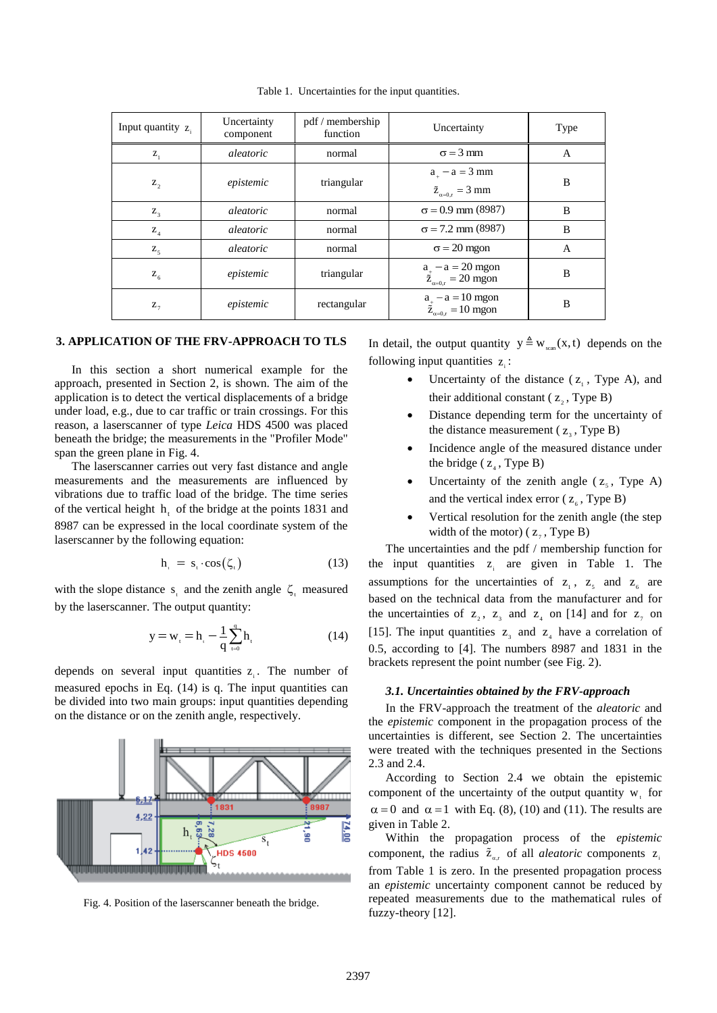| Input quantity $z_i$ | Uncertainty<br>component | pdf / membership<br>function | Uncertainty                                                            | Type |
|----------------------|--------------------------|------------------------------|------------------------------------------------------------------------|------|
| $Z_1$                | aleatoric                | normal                       | $\sigma = 3$ mm                                                        | A    |
| $Z_{2}$              | epistemic                | triangular                   | $a_{+} - a = 3$ mm<br>$\tilde{z}_{_{\alpha=0,r}}=3\;\mathrm{mm}$       | B    |
| $Z_{3}$              | aleatoric                | normal                       | $\sigma$ = 0.9 mm (8987)                                               | B    |
| $Z_4$                | aleatoric                | normal                       | $\sigma$ = 7.2 mm (8987)                                               | B    |
| $Z_{5}$              | aleatoric                | normal                       | $\sigma$ = 20 mgon                                                     | A    |
| $Z_{6}$              | epistemic                | triangular                   | $a_{\dfrac{1}{2}} - a = 20$ mgon<br>$\tilde{z}_{\alpha=0,r} = 20$ mgon | B    |
| $Z_{7}$              | epistemic                | rectangular                  | $a_{\dfrac{1}{2}} - a = 10$ mgon<br>$\tilde{z}_{\alpha=0,r} = 10$ mgon | B    |

Table 1. Uncertainties for the input quantities.

# **3. APPLICATION OF THE FRV-APPROACH TO TLS**

In this section a short numerical example for the approach, presented in Section 2, is shown. The aim of the application is to detect the vertical displacements of a bridge under load, e.g., due to car traffic or train crossings. For this reason, a laserscanner of type *Leica* HDS 4500 was placed beneath the bridge; the measurements in the "Profiler Mode" span the green plane in Fig. 4.

The laserscanner carries out very fast distance and angle measurements and the measurements are influenced by vibrations due to traffic load of the bridge. The time series of the vertical height  $h_t$  of the bridge at the points 1831 and 8987 can be expressed in the local coordinate system of the laserscanner by the following equation:

$$
h_{t} = s_{t} \cdot \cos(\zeta_{t}) \tag{13}
$$

with the slope distance  $s_t$  and the zenith angle  $\zeta_t$  measured by the laserscanner. The output quantity:

$$
y = w_{t} = h_{t} - \frac{1}{q} \sum_{t=0}^{q} h_{t}
$$
 (14)

depends on several input quantities  $z_i$ . The number of measured epochs in Eq. (14) is q. The input quantities can be divided into two main groups: input quantities depending on the distance or on the zenith angle, respectively.



Fig. 4. Position of the laserscanner beneath the bridge.

In detail, the output quantity  $y \triangleq w_{\text{sgn}}(x, t)$  depends on the following input quantities  $z_i$ :

- Uncertainty of the distance  $(z_1, y_1, z_2)$ , and their additional constant ( $z_2$ , Type B)
- Distance depending term for the uncertainty of the distance measurement ( $z_3$ , Type B)
- Incidence angle of the measured distance under the bridge  $(z_4, Type B)$
- Uncertainty of the zenith angle  $(z_5,$  Type A) and the vertical index error ( $z_6$ , Type B)
- Vertical resolution for the zenith angle (the step width of the motor) ( $z_7$ , Type B)

The uncertainties and the pdf / membership function for the input quantities  $z_i$  are given in Table 1. The assumptions for the uncertainties of  $z_1$ ,  $z_5$  and  $z_6$  are based on the technical data from the manufacturer and for the uncertainties of  $z_2$ ,  $z_3$  and  $z_4$  on [14] and for  $z_7$  on [15]. The input quantities  $z_3$  and  $z_4$  have a correlation of 0.5, according to [4]. The numbers 8987 and 1831 in the brackets represent the point number (see Fig. 2).

## *3.1. Uncertainties obtained by the FRV-approach*

In the FRV-approach the treatment of the *aleatoric* and the *epistemic* component in the propagation process of the uncertainties is different, see Section 2. The uncertainties were treated with the techniques presented in the Sections 2.3 and 2.4.

According to Section 2.4 we obtain the epistemic component of the uncertainty of the output quantity  $w_t$  for  $\alpha = 0$  and  $\alpha = 1$  with Eq. (8), (10) and (11). The results are given in Table 2.

Within the propagation process of the *epistemic* component, the radius  $\tilde{z}_{a,r}$  of all *aleatoric* components z from Table 1 is zero. In the presented propagation process an *epistemic* uncertainty component cannot be reduced by repeated measurements due to the mathematical rules of fuzzy-theory [12].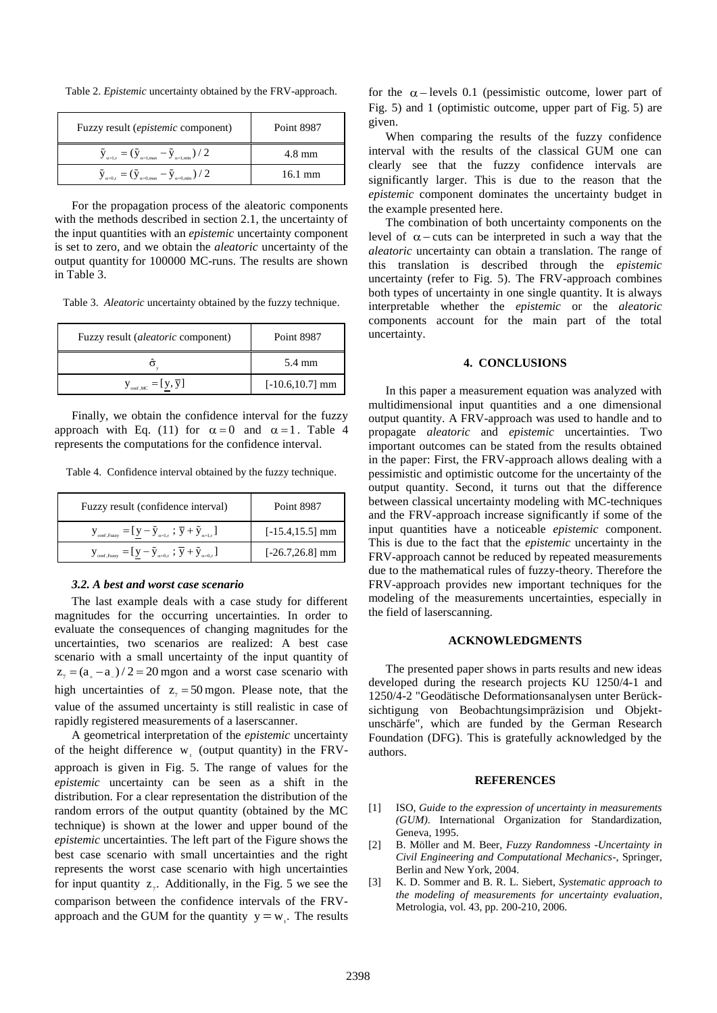Table 2. *Epistemic* uncertainty obtained by the FRV-approach.

| Fuzzy result <i>(epistemic</i> component)                                                                         | <b>Point 8987</b> |
|-------------------------------------------------------------------------------------------------------------------|-------------------|
| $\tilde{\text{y}}_{\alpha=l,r}=(\tilde{\text{y}}_{\alpha=l,\text{max}}-\tilde{\text{y}}_{\alpha=l,\text{min}})/2$ | $4.8 \text{ mm}$  |
| $\tilde{y}_{\alpha=0,r} = (\tilde{y}_{\alpha=0,\text{max}} - \tilde{y}_{\alpha=0,\text{min}})/2$                  | $16.1 \text{ mm}$ |

For the propagation process of the aleatoric components with the methods described in section 2.1, the uncertainty of the input quantities with an *epistemic* uncertainty component is set to zero, and we obtain the *aleatoric* uncertainty of the output quantity for 100000 MC-runs. The results are shown in Table 3.

Table 3. *Aleatoric* uncertainty obtained by the fuzzy technique.

| Fuzzy result <i>(aleatoric</i> component) | Point 8987         |
|-------------------------------------------|--------------------|
|                                           | 5.4 mm             |
| $y_{\text{conf,MC}} = [y, \overline{y}]$  | $[-10.6, 10.7]$ mm |

Finally, we obtain the confidence interval for the fuzzy approach with Eq. (11) for  $\alpha = 0$  and  $\alpha = 1$ . Table 4 represents the computations for the confidence interval.

Table 4. Confidence interval obtained by the fuzzy technique.

| Fuzzy result (confidence interval)                                                                                                                       | Point 8987         |
|----------------------------------------------------------------------------------------------------------------------------------------------------------|--------------------|
| $\mathbf{y}_{\text{conf,Fuzzy}} = [\mathbf{y} - \tilde{\mathbf{y}}_{\alpha=1,r} ; \overline{\mathbf{y}} + \tilde{\mathbf{y}}_{\alpha=1,r}]$              | $[-15.4, 15.5]$ mm |
| $\mathbf{y}_{\text{conf,Fuzzy}} = [\mathbf{y} - \tilde{\mathbf{y}}_{\alpha=0,\text{r}}; \overline{\mathbf{y}} + \tilde{\mathbf{y}}_{\alpha=0,\text{r}}]$ | $[-26.7, 26.8]$ mm |

#### *3.2. A best and worst case scenario*

The last example deals with a case study for different magnitudes for the occurring uncertainties. In order to evaluate the consequences of changing magnitudes for the uncertainties, two scenarios are realized: A best case scenario with a small uncertainty of the input quantity of  $z_7 = (a_2 - a_1)/2 = 20$  mgon and a worst case scenario with high uncertainties of  $z_7 = 50$  mgon. Please note, that the value of the assumed uncertainty is still realistic in case of rapidly registered measurements of a laserscanner.

A geometrical interpretation of the *epistemic* uncertainty of the height difference  $w_i$  (output quantity) in the FRVapproach is given in Fig. 5. The range of values for the *epistemic* uncertainty can be seen as a shift in the distribution. For a clear representation the distribution of the random errors of the output quantity (obtained by the MC technique) is shown at the lower and upper bound of the *epistemic* uncertainties. The left part of the Figure shows the best case scenario with small uncertainties and the right represents the worst case scenario with high uncertainties for input quantity  $z_7$ . Additionally, in the Fig. 5 we see the comparison between the confidence intervals of the FRVapproach and the GUM for the quantity  $y = w_t$ . The results

for the  $\alpha$ -levels 0.1 (pessimistic outcome, lower part of Fig. 5) and 1 (optimistic outcome, upper part of Fig. 5) are given.

When comparing the results of the fuzzy confidence interval with the results of the classical GUM one can clearly see that the fuzzy confidence intervals are significantly larger. This is due to the reason that the *epistemic* component dominates the uncertainty budget in the example presented here.

The combination of both uncertainty components on the level of  $\alpha$  – cuts can be interpreted in such a way that the *aleatoric* uncertainty can obtain a translation. The range of this translation is described through the *epistemic* uncertainty (refer to Fig. 5). The FRV-approach combines both types of uncertainty in one single quantity. It is always interpretable whether the *epistemic* or the *aleatoric* components account for the main part of the total uncertainty.

## **4. CONCLUSIONS**

In this paper a measurement equation was analyzed with multidimensional input quantities and a one dimensional output quantity. A FRV-approach was used to handle and to propagate *aleatoric* and *epistemic* uncertainties. Two important outcomes can be stated from the results obtained in the paper: First, the FRV-approach allows dealing with a pessimistic and optimistic outcome for the uncertainty of the output quantity. Second, it turns out that the difference between classical uncertainty modeling with MC-techniques and the FRV-approach increase significantly if some of the input quantities have a noticeable *epistemic* component. This is due to the fact that the *epistemic* uncertainty in the FRV-approach cannot be reduced by repeated measurements due to the mathematical rules of fuzzy-theory. Therefore the FRV-approach provides new important techniques for the modeling of the measurements uncertainties, especially in the field of laserscanning.

#### **ACKNOWLEDGMENTS**

The presented paper shows in parts results and new ideas developed during the research projects KU 1250/4-1 and 1250/4-2 "Geodätische Deformationsanalysen unter Berücksichtigung von Beobachtungsimpräzision und Objektunschärfe", which are funded by the German Research Foundation (DFG). This is gratefully acknowledged by the authors.

#### **REFERENCES**

- [1] ISO, *Guide to the expression of uncertainty in measurements (GUM)*. International Organization for Standardization, Geneva, 1995.
- [2] B. Möller and M. Beer, *Fuzzy Randomness -Uncertainty in Civil Engineering and Computational Mechanics-*, Springer, Berlin and New York, 2004.
- [3] K. D. Sommer and B. R. L. Siebert, *Systematic approach to the modeling of measurements for uncertainty evaluation*, Metrologia, vol. 43, pp. 200-210, 2006.